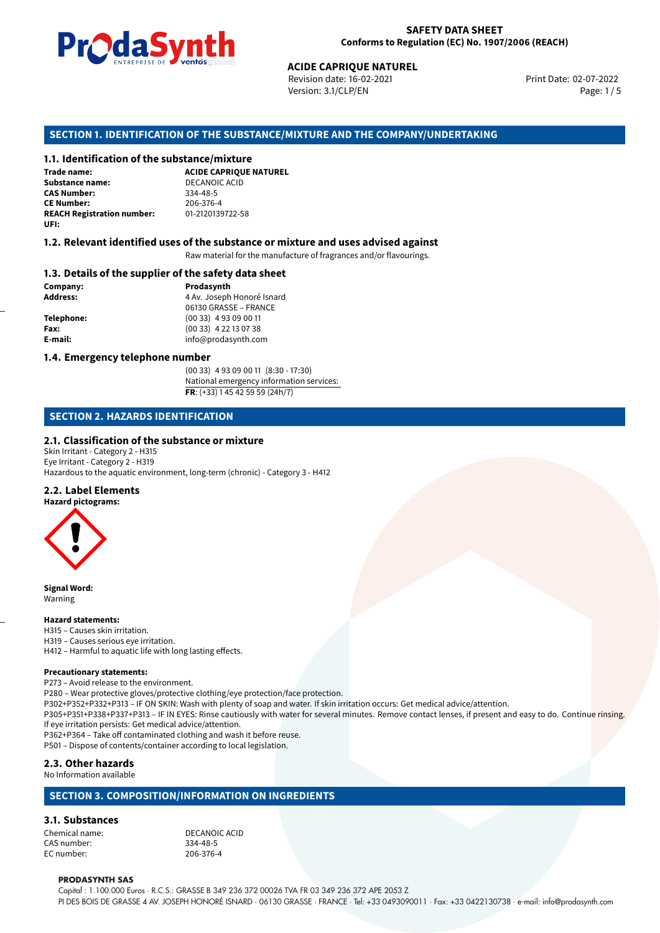

Revision date: 16-02-2021 Version: 3.1/CLP/EN Page: 1 / 5

Print Date: 02-07-2022

# **ACIDE CAPRIQUE NATUREL<br>
Revision date: 16-02-2021<br>
Version: 3.1/CLP/EN<br>
<b>OF THE SUBSTANCE/MIXTURE AND THE COMPAN<br>
tance/mixture<br>
ACIDE CAPRIQUE NATUREL SECTION 1. IDENTIFICATION OF THE SUBSTANCE/MIXTURE AND THE COMPANY/UNDERTAKING**

#### **1.1. Identification of the substance/mixture**

**Trade name: Substance name:** DECANOIC ACID **CAS Number:** 334-48-5 **CE Number:** 206-376-4<br>**REACH Registration number:** 01-2120139722-58 **REACH Registration number: UFI:**

#### **1.2. Relevant identified uses of the substance or mixture and uses advised against**

Raw material for the manufacture of fragrances and/or flavourings.

#### **1.3. Details of the supplier of the safety data sheet**

**Company: Prodasynth Prodasynth Address:** 4 Av. Joseph **Address:** 4 Av. Joseph Honoré Isnard 06130 GRASSE – FRANCE **Telephone:** (00 33) 4 93 09 00 11 **Fax:** (00 33) 4 22 13 07 38 **E-mail:** info@prodasynth.com

#### **1.4. Emergency telephone number**

(00 33) 4 93 09 00 11 (8:30 - 17:30) National emergency information services: **FR**: (+33) 1 45 42 59 59 (24h/7)

#### **SECTION 2. HAZARDS IDENTIFICATION**

#### **2.1. Classification of the substance or mixture**

Skin Irritant - Category 2 - H315 Eye Irritant - Category 2 - H319 Hazardous to the aquatic environment, long-term (chronic) - Category 3 - H412

#### **2.2. Label Elements**



**Signal Word:** Warning

#### **Hazard statements:**

H315 – Causes skin irritation.

H319 – Causes serious eye irritation. H412 – Harmful to aquatic life with long lasting effects.

#### **Precautionary statements:**

P273 – Avoid release to the environment.

P280 – Wear protective gloves/protective clothing/eye protection/face protection.

P302+P352+P332+P313 – IF ON SKIN: Wash with plenty of soap and water. If skin irritation occurs: Get medical advice/attention.

P305+P351+P338+P337+P313 – IF IN EYES: Rinse cautiously with water for several minutes. Remove contact lenses, if present and easy to do. Continue rinsing. If eye irritation persists: Get medical advice/attention.

P362+P364 – Take off contaminated clothing and wash it before reuse.

P501 – Dispose of contents/container according to local legislation.

#### **2.3. Other hazards**

No Information available

#### **SECTION 3. COMPOSITION/INFORMATION ON INGREDIENTS**

#### **3.1. Substances**

Chemical name:<br>
CAS number: 
234-48-5 CAS number: EC number: 206-376-4

#### **PRODASYNTH SAS**

Capital : 1.100.000 Euros · R.C.S.: GRASSE B 349 236 372 00026 TVA FR 03 349 236 372 APE 2053 Z PI DES BOIS DE GRASSE 4 AV. JOSEPH HONORÉ ISNARD · 06130 GRASSE · FRANCE · Tel: +33 0493090011 · Fax: +33 0422130738 · e-mail: info@prodasynth.com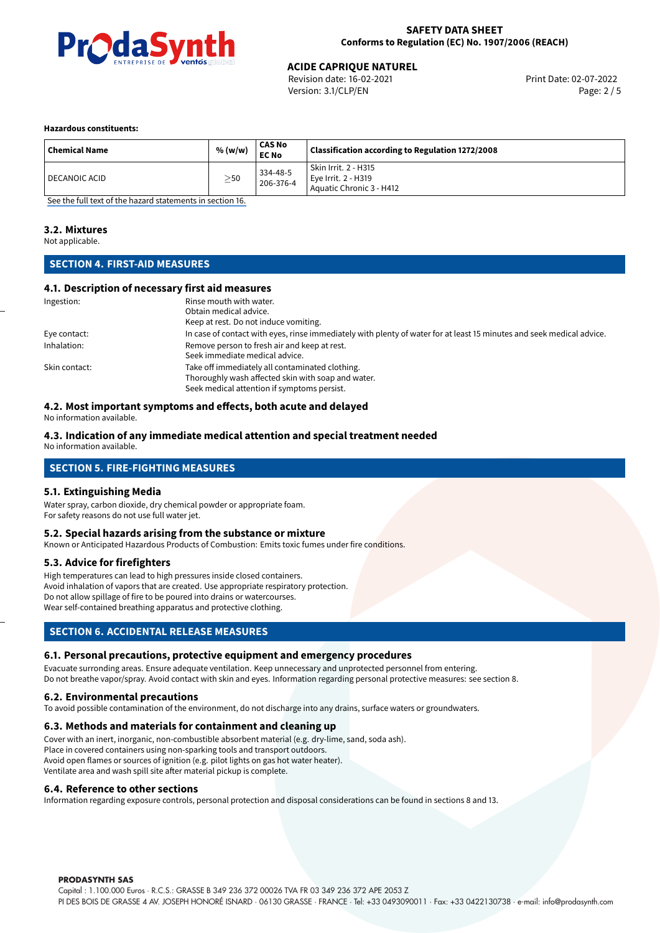

Revision date: 16-02-2021 Version: 3.1/CLP/EN Page: 2 / 5

#### **Hazardous constituents:**

| <b>Chemical Name</b> | % (w/w)   | <b>CAS No</b><br><b>EC No</b> | Classification according to Regulation 1272/2008                        |
|----------------------|-----------|-------------------------------|-------------------------------------------------------------------------|
| DECANOIC ACID        | $\geq$ 50 | 334-48-5<br>206-376-4         | Skin Irrit. 2 - H315<br>Eve Irrit. 2 - H319<br>Aquatic Chronic 3 - H412 |

[See the full text of the hazard statements in section 16.](#page-4-0)

#### **3.2. Mixtures**

Not applicable.

#### **SECTION 4. FIRST-AID MEASURES**

#### **4.1. Description of necessary first aid measures**

| Ingestion:    | Rinse mouth with water.                                                                                               |  |  |
|---------------|-----------------------------------------------------------------------------------------------------------------------|--|--|
|               | Obtain medical advice.                                                                                                |  |  |
|               | Keep at rest. Do not induce vomiting.                                                                                 |  |  |
| Eye contact:  | In case of contact with eyes, rinse immediately with plenty of water for at least 15 minutes and seek medical advice. |  |  |
| Inhalation:   | Remove person to fresh air and keep at rest.                                                                          |  |  |
|               | Seek immediate medical advice.                                                                                        |  |  |
| Skin contact: | Take off immediately all contaminated clothing.                                                                       |  |  |
|               | Thoroughly wash affected skin with soap and water.                                                                    |  |  |
|               | Seek medical attention if symptoms persist.                                                                           |  |  |

#### **4.2. Most important symptoms and effects, both acute and delayed**

No information available.

#### **4.3. Indication of any immediate medical attention and special treatment needed**

No information available.

#### **SECTION 5. FIRE-FIGHTING MEASURES**

#### **5.1. Extinguishing Media**

Water spray, carbon dioxide, dry chemical powder or appropriate foam. For safety reasons do not use full water jet.

#### **5.2. Special hazards arising from the substance or mixture**

Known or Anticipated Hazardous Products of Combustion: Emits toxic fumes under fire conditions.

#### **5.3. Advice for firefighters**

High temperatures can lead to high pressures inside closed containers. Avoid inhalation of vapors that are created. Use appropriate respiratory protection. Do not allow spillage of fire to be poured into drains or watercourses. Wear self-contained breathing apparatus and protective clothing.

#### **SECTION 6. ACCIDENTAL RELEASE MEASURES**

#### **6.1. Personal precautions, protective equipment and emergency procedures**

Evacuate surronding areas. Ensure adequate ventilation. Keep unnecessary and unprotected personnel from entering. Do not breathe vapor/spray. Avoid contact with skin and eyes. Information regarding personal protective measures: see section 8.

#### **6.2. Environmental precautions**

To avoid possible contamination of the environment, do not discharge into any drains, surface waters or groundwaters.

#### **6.3. Methods and materials for containment and cleaning up**

Cover with an inert, inorganic, non-combustible absorbent material (e.g. dry-lime, sand, soda ash). Place in covered containers using non-sparking tools and transport outdoors. Avoid open flames or sources of ignition (e.g. pilot lights on gas hot water heater). Ventilate area and wash spill site after material pickup is complete.

#### **6.4. Reference to other sections**

Information regarding exposure controls, personal protection and disposal considerations can be found in sections 8 and 13.

#### **PRODASYNTH SAS**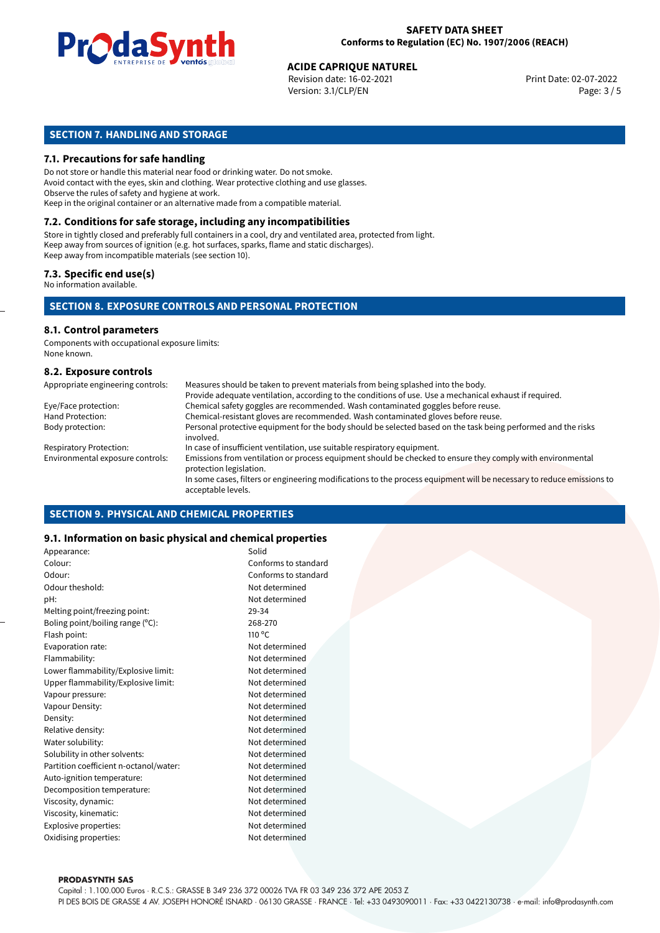

Revision date: 16-02-2021 Version: 3.1/CLP/EN Page: 3 / 5

#### **SECTION 7. HANDLING AND STORAGE**

#### **7.1. Precautions for safe handling**

Do not store or handle this material near food or drinking water. Do not smoke. Avoid contact with the eyes, skin and clothing. Wear protective clothing and use glasses. Observe the rules of safety and hygiene at work. Keep in the original container or an alternative made from a compatible material.

### **7.2. Conditions for safe storage, including any incompatibilities**

Store in tightly closed and preferably full containers in a cool, dry and ventilated area, protected from light. Keep away from sources of ignition (e.g. hot surfaces, sparks, flame and static discharges). Keep away from incompatible materials (see section 10).

#### **7.3. Specific end use(s)**

No information available.

#### **SECTION 8. EXPOSURE CONTROLS AND PERSONAL PROTECTION**

#### **8.1. Control parameters**

Components with occupational exposure limits: None known.

#### **8.2. Exposure controls**

| Appropriate engineering controls: | Measures should be taken to prevent materials from being splashed into the body.                                                            |
|-----------------------------------|---------------------------------------------------------------------------------------------------------------------------------------------|
|                                   | Provide adequate ventilation, according to the conditions of use. Use a mechanical exhaust if required.                                     |
| Eye/Face protection:              | Chemical safety goggles are recommended. Wash contaminated goggles before reuse.                                                            |
| Hand Protection:                  | Chemical-resistant gloves are recommended. Wash contaminated gloves before reuse.                                                           |
| Body protection:                  | Personal protective equipment for the body should be selected based on the task being performed and the risks<br>involved.                  |
| <b>Respiratory Protection:</b>    | In case of insufficient ventilation, use suitable respiratory equipment.                                                                    |
| Environmental exposure controls:  | Emissions from ventilation or process equipment should be checked to ensure they comply with environmental<br>protection legislation.       |
|                                   | In some cases, filters or engineering modifications to the process equipment will be necessary to reduce emissions to<br>acceptable levels. |

#### **SECTION 9. PHYSICAL AND CHEMICAL PROPERTIES**

#### **9.1. Information on basic physical and chemical properties**

| Appearance:                            | Solid                |
|----------------------------------------|----------------------|
| Colour:                                | Conforms to standard |
| Odour:                                 | Conforms to standard |
| Odour theshold:                        | Not determined       |
| pH:                                    | Not determined       |
| Melting point/freezing point:          | 29-34                |
| Boling point/boiling range $(°C)$ :    | 268-270              |
| Flash point:                           | $110^{\circ}$ C      |
| Evaporation rate:                      | Not determined       |
| Flammability:                          | Not determined       |
| Lower flammability/Explosive limit:    | Not determined       |
| Upper flammability/Explosive limit:    | Not determined       |
| Vapour pressure:                       | Not determined       |
| Vapour Density:                        | Not determined       |
| Density:                               | Not determined       |
| Relative density:                      | Not determined       |
| Water solubility:                      | Not determined       |
| Solubility in other solvents:          | Not determined       |
| Partition coefficient n-octanol/water: | Not determined       |
| Auto-ignition temperature:             | Not determined       |
| Decomposition temperature:             | Not determined       |
| Viscosity, dynamic:                    | Not determined       |
| Viscosity, kinematic:                  | Not determined       |
| Explosive properties:                  | Not determined       |
| Oxidising properties:                  | Not determined       |
|                                        |                      |

**PRODASYNTH SAS** 

Capital : 1.100.000 Euros · R.C.S.: GRASSE B 349 236 372 00026 TVA FR 03 349 236 372 APE 2053 Z PI DES BOIS DE GRASSE 4 AV. JOSEPH HONORÉ ISNARD · 06130 GRASSE · FRANCE · Tel: +33 0493090011 · Fax: +33 0422130738 · e-mail: info@prodasynth.com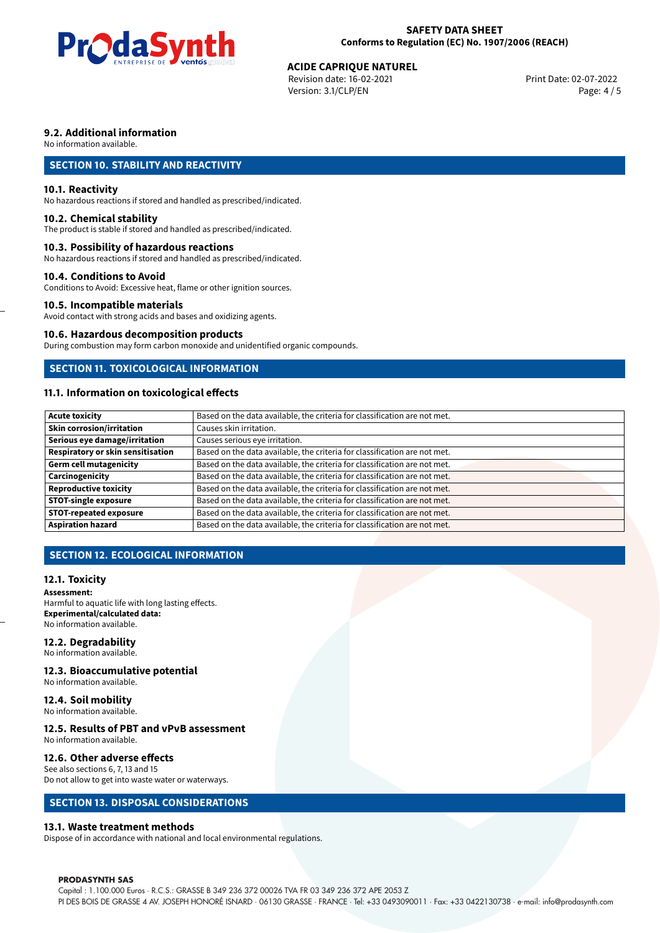

Revision date: 16-02-2021 Version: 3.1/CLP/EN Page: 4 / 5

#### **9.2. Additional information**

No information available.

#### **SECTION 10. STABILITY AND REACTIVITY**

#### **10.1. Reactivity**

No hazardous reactions if stored and handled as prescribed/indicated.

#### **10.2. Chemical stability**

The product is stable if stored and handled as prescribed/indicated.

#### **10.3. Possibility of hazardous reactions**

No hazardous reactions if stored and handled as prescribed/indicated.

#### **10.4. Conditions to Avoid**

Conditions to Avoid: Excessive heat, flame or other ignition sources.

#### **10.5. Incompatible materials**

Avoid contact with strong acids and bases and oxidizing agents.

#### **10.6. Hazardous decomposition products**

During combustion may form carbon monoxide and unidentified organic compounds.

#### **SECTION 11. TOXICOLOGICAL INFORMATION**

#### **11.1. Information on toxicological effects**

| Acute toxicity                    | Based on the data available, the criteria for classification are not met. |
|-----------------------------------|---------------------------------------------------------------------------|
| <b>Skin corrosion/irritation</b>  | Causes skin irritation.                                                   |
| Serious eye damage/irritation     | Causes serious eye irritation.                                            |
| Respiratory or skin sensitisation | Based on the data available, the criteria for classification are not met. |
| Germ cell mutagenicity            | Based on the data available, the criteria for classification are not met. |
| <b>Carcinogenicity</b>            | Based on the data available, the criteria for classification are not met. |
| Reproductive toxicity             | Based on the data available, the criteria for classification are not met. |
| <b>STOT-single exposure</b>       | Based on the data available, the criteria for classification are not met. |
| <b>STOT-repeated exposure</b>     | Based on the data available, the criteria for classification are not met. |
| <b>Aspiration hazard</b>          | Based on the data available, the criteria for classification are not met. |

#### **SECTION 12. ECOLOGICAL INFORMATION**

#### **12.1. Toxicity**

**Assessment:** Harmful to aquatic life with long lasting effects. **Experimental/calculated data:** No information available.

#### **12.2. Degradability**

No information available.

#### **12.3. Bioaccumulative potential**

No information available.

#### **12.4. Soil mobility**

No information available.

#### **12.5. Results of PBT and vPvB assessment**

No information available.

#### **12.6. Other adverse effects**

See also sections 6, 7, 13 and 15 Do not allow to get into waste water or waterways.

#### **SECTION 13. DISPOSAL CONSIDERATIONS**

#### **13.1. Waste treatment methods**

Dispose of in accordance with national and local environmental regulations.

**PRODASYNTH SAS** 

Capital : 1.100.000 Euros · R.C.S.: GRASSE B 349 236 372 00026 TVA FR 03 349 236 372 APE 2053 Z PI DES BOIS DE GRASSE 4 AV. JOSEPH HONORÉ ISNARD · 06130 GRASSE · FRANCE · Tel: +33 0493090011 · Fax: +33 0422130738 · e-mail: info@prodasynth.com